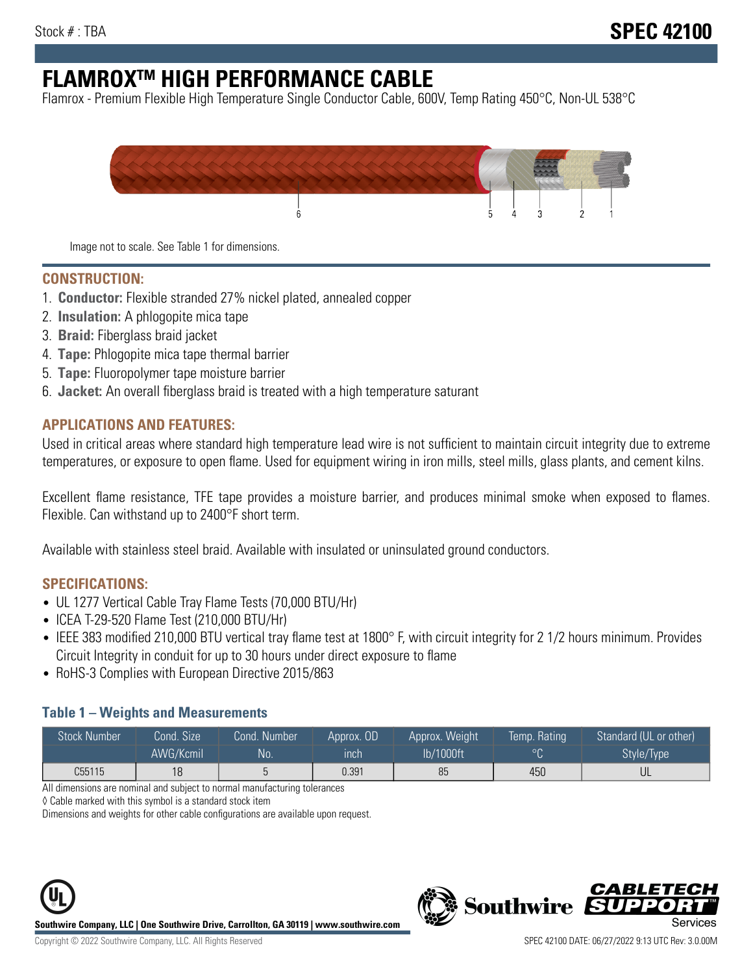# **FLAMROXTM HIGH PERFORMANCE CABLE**

Flamrox - Premium Flexible High Temperature Single Conductor Cable, 600V, Temp Rating 450°C, Non-UL 538°C



Image not to scale. See Table 1 for dimensions.

#### **CONSTRUCTION:**

- 1. **Conductor:** Flexible stranded 27% nickel plated, annealed copper
- 2. **Insulation:** A phlogopite mica tape
- 3. **Braid:** Fiberglass braid jacket
- 4. **Tape:** Phlogopite mica tape thermal barrier
- 5. **Tape:** Fluoropolymer tape moisture barrier
- 6. **Jacket:** An overall fiberglass braid is treated with a high temperature saturant

#### **APPLICATIONS AND FEATURES:**

Used in critical areas where standard high temperature lead wire is not sufficient to maintain circuit integrity due to extreme temperatures, or exposure to open flame. Used for equipment wiring in iron mills, steel mills, glass plants, and cement kilns.

Excellent flame resistance, TFE tape provides a moisture barrier, and produces minimal smoke when exposed to flames. Flexible. Can withstand up to 2400°F short term.

Available with stainless steel braid. Available with insulated or uninsulated ground conductors.

#### **SPECIFICATIONS:**

- UL 1277 Vertical Cable Tray Flame Tests (70,000 BTU/Hr)
- ICEA T-29-520 Flame Test (210,000 BTU/Hr)
- IEEE 383 modified 210,000 BTU vertical tray flame test at 1800° F, with circuit integrity for 2 1/2 hours minimum. Provides Circuit Integrity in conduit for up to 30 hours under direct exposure to flame
- RoHS-3 Complies with European Directive 2015/863

#### **Table 1 – Weights and Measurements**

| <b>Stock Number</b> | Cond. Size | Cond. Number | Approx. OD | Approx. Weight | Temp. Rating | Standard (UL or other)  |
|---------------------|------------|--------------|------------|----------------|--------------|-------------------------|
|                     | AWG/Kcmil  | <b>No</b>    | inch       | lb/1000ft      | $\circ$      | Style/Type <sup>1</sup> |
| C55115              | 18         |              | 0.391      | 85             | 450          | UL                      |

All dimensions are nominal and subject to normal manufacturing tolerances

◊ Cable marked with this symbol is a standard stock item

Dimensions and weights for other cable configurations are available upon request.